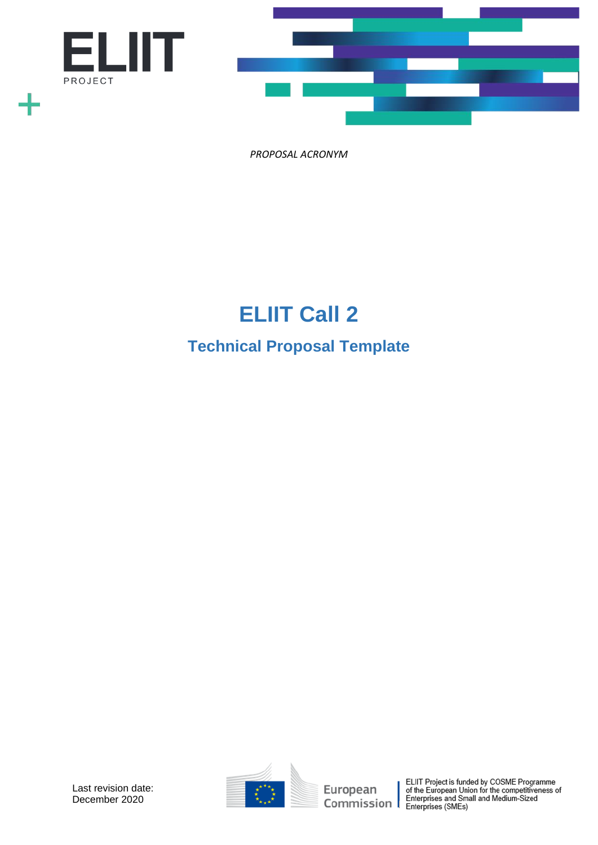

# **ELIIT Call 2 Technical Proposal Template**

Last revision date: December 2020



European ELIIT Project is funded by COSME Programme<br>
of the European Union for the competitiveness of<br>
Commission Enterprises (SMEs)<br>
Enterprises (SMEs)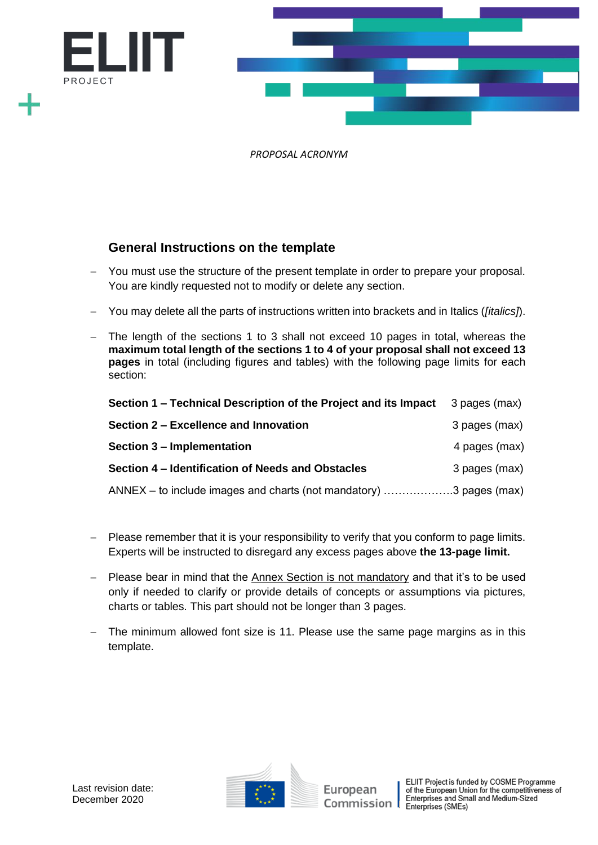

# **General Instructions on the template**

- − You must use the structure of the present template in order to prepare your proposal. You are kindly requested not to modify or delete any section.
- − You may delete all the parts of instructions written into brackets and in Italics (*[italics]*).
- − The length of the sections 1 to 3 shall not exceed 10 pages in total, whereas the **maximum total length of the sections 1 to 4 of your proposal shall not exceed 13 pages** in total (including figures and tables) with the following page limits for each section:

| Section 1 – Technical Description of the Project and its Impact    | 3 pages (max) |
|--------------------------------------------------------------------|---------------|
| Section 2 – Excellence and Innovation                              | 3 pages (max) |
| Section 3 – Implementation                                         | 4 pages (max) |
| Section 4 – Identification of Needs and Obstacles                  | 3 pages (max) |
| ANNEX – to include images and charts (not mandatory) 3 pages (max) |               |

- − Please remember that it is your responsibility to verify that you conform to page limits. Experts will be instructed to disregard any excess pages above **the 13-page limit.**
- − Please bear in mind that the Annex Section is not mandatory and that it's to be used only if needed to clarify or provide details of concepts or assumptions via pictures, charts or tables. This part should not be longer than 3 pages.
- The minimum allowed font size is 11. Please use the same page margins as in this template.

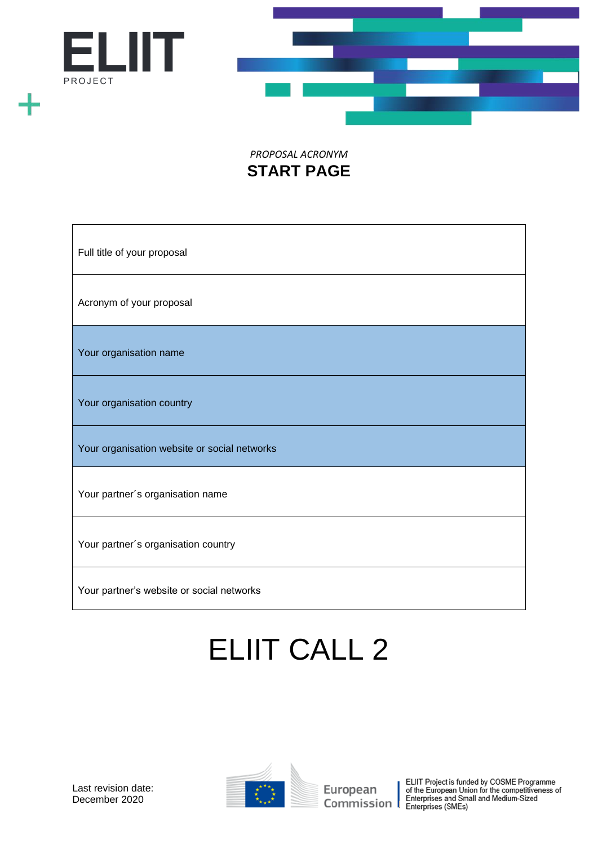



# *PROPOSAL ACRONYM* **START PAGE**

| Full title of your proposal                  |
|----------------------------------------------|
| Acronym of your proposal                     |
| Your organisation name                       |
| Your organisation country                    |
| Your organisation website or social networks |
| Your partner's organisation name             |
| Your partner's organisation country          |
| Your partner's website or social networks    |

# ELIIT CALL 2



European ELIIT Project is funded by COSME Programme<br>
of the European Union for the competitiveness of<br>
Commission Enterprises (SMEs)<br>
Enterprises (SMEs)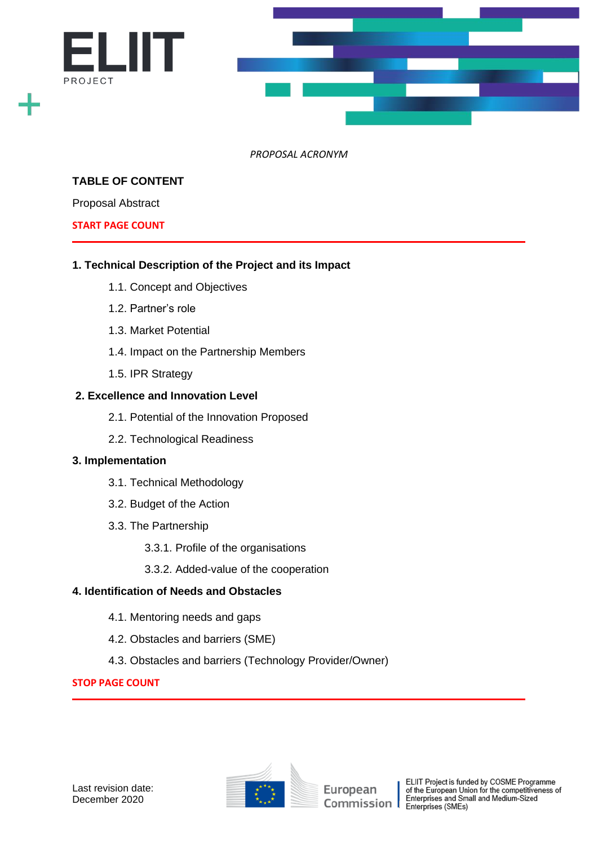

# **TABLE OF CONTENT**

Proposal Abstract

#### **START PAGE COUNT**

# **1. Technical Description of the Project and its Impact**

- 1.1. Concept and Objectives
- 1.2. Partner's role
- 1.3. Market Potential
- 1.4. Impact on the Partnership Members
- 1.5. IPR Strategy

#### **2. Excellence and Innovation Level**

- 2.1. Potential of the Innovation Proposed
- 2.2. Technological Readiness

#### **3. Implementation**

- 3.1. Technical Methodology
- 3.2. Budget of the Action
- 3.3. The Partnership
	- 3.3.1. Profile of the organisations
	- 3.3.2. Added-value of the cooperation

# **4. Identification of Needs and Obstacles**

- 4.1. Mentoring needs and gaps
- 4.2. Obstacles and barriers (SME)
- 4.3. Obstacles and barriers (Technology Provider/Owner)

# **STOP PAGE COUNT**



ELIIT Project is funded by COSME Programme<br>of the European Union for the competitiveness of<br>Enterprises and Small and Medium-Sized Enterprises (SMEs)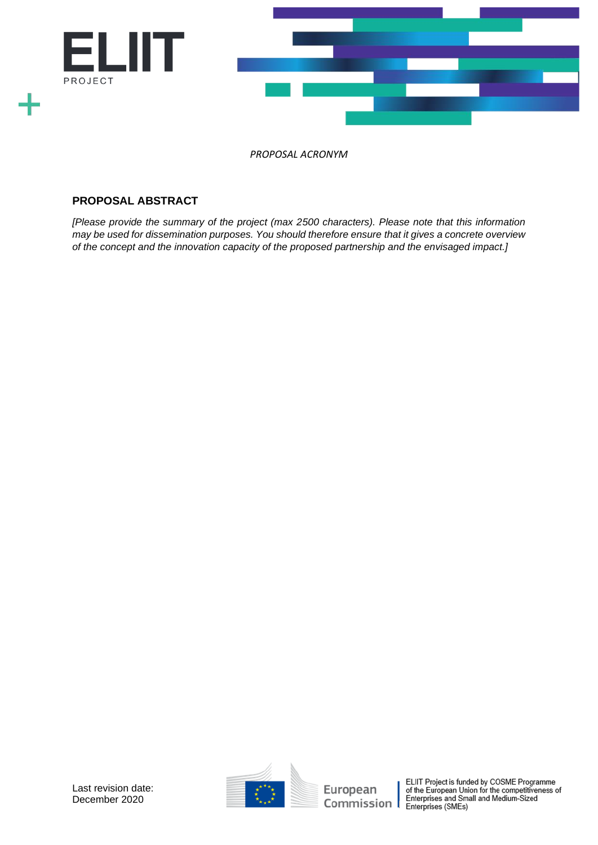

# **PROPOSAL ABSTRACT**

*[Please provide the summary of the project (max 2500 characters). Please note that this information may be used for dissemination purposes. You should therefore ensure that it gives a concrete overview of the concept and the innovation capacity of the proposed partnership and the envisaged impact.]*



EUIT Project is funded by COSME Programme<br>
of the European Union for the competitiveness of<br>
Commission | Enterprises (SMEs)<br>
Enterprises (SMEs)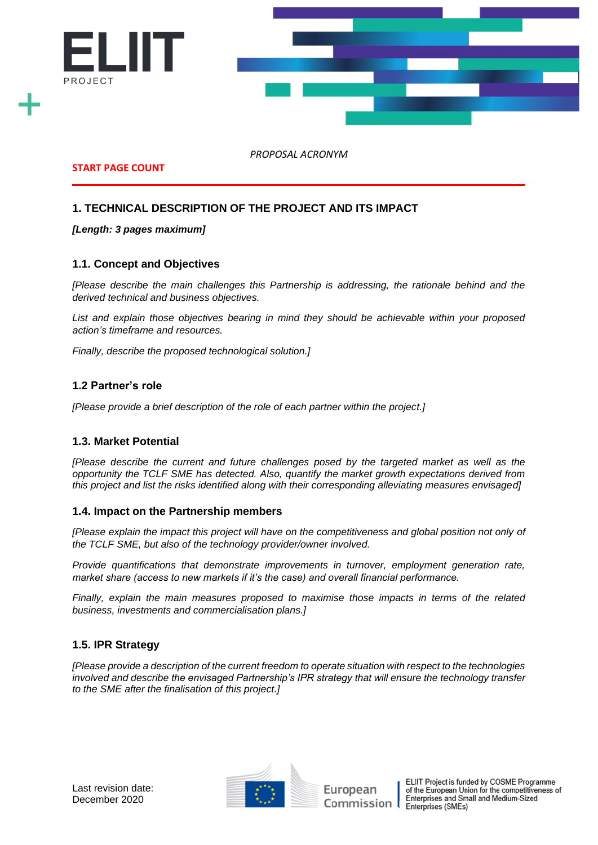

**START PAGE COUNT**

# **1. TECHNICAL DESCRIPTION OF THE PROJECT AND ITS IMPACT**

#### *[Length: 3 pages maximum]*

#### **1.1. Concept and Objectives**

*[Please describe the main challenges this Partnership is addressing, the rationale behind and the derived technical and business objectives.* 

*List and explain those objectives bearing in mind they should be achievable within your proposed action's timeframe and resources.* 

*Finally, describe the proposed technological solution.]*

#### **1.2 Partner's role**

*[Please provide a brief description of the role of each partner within the project.]*

#### **1.3. Market Potential**

*[Please describe the current and future challenges posed by the targeted market as well as the opportunity the TCLF SME has detected. Also, quantify the market growth expectations derived from this project and list the risks identified along with their corresponding alleviating measures envisaged]*

#### **1.4. Impact on the Partnership members**

*[Please explain the impact this project will have on the competitiveness and global position not only of the TCLF SME, but also of the technology provider/owner involved.* 

*Provide quantifications that demonstrate improvements in turnover, employment generation rate, market share (access to new markets if it's the case) and overall financial performance.* 

*Finally, explain the main measures proposed to maximise those impacts in terms of the related business, investments and commercialisation plans.]*

# **1.5. IPR Strategy**

*[Please provide a description of the current freedom to operate situation with respect to the technologies involved and describe the envisaged Partnership's IPR strategy that will ensure the technology transfer to the SME after the finalisation of this project.]*



European Commission

ELIIT Project is funded by COSME Programme of the European Union for the competitiveness of<br>Enterprises and Small and Medium-Sized Enterprises (SMEs)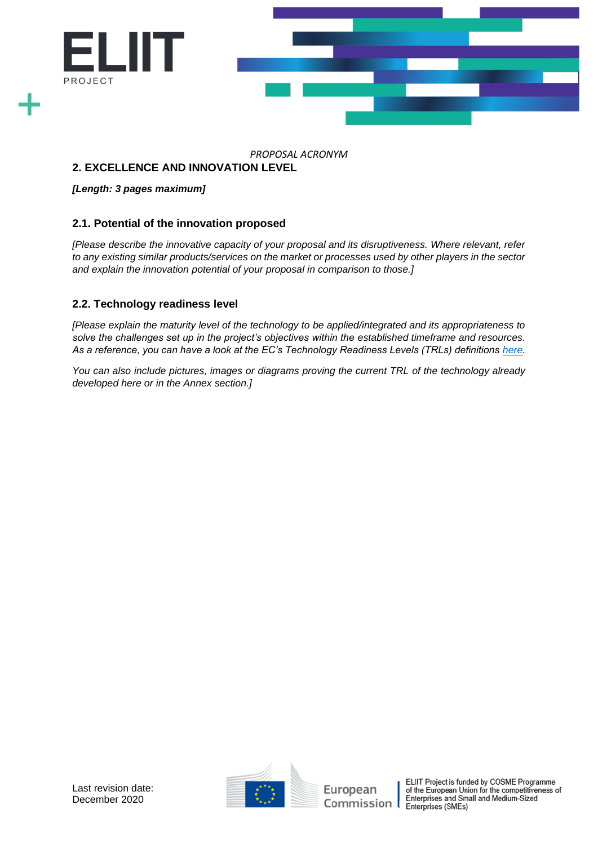

# **2. EXCELLENCE AND INNOVATION LEVEL**

#### *[Length: 3 pages maximum]*

# **2.1. Potential of the innovation proposed**

*[Please describe the innovative capacity of your proposal and its disruptiveness. Where relevant, refer to any existing similar products/services on the market or processes used by other players in the sector and explain the innovation potential of your proposal in comparison to those.]*

# **2.2. Technology readiness level**

*[Please explain the maturity level of the technology to be applied/integrated and its appropriateness to solve the challenges set up in the project's objectives within the established timeframe and resources. As a reference, you can have a look at the EC's Technology Readiness Levels (TRLs) definitions [here.](https://ec.europa.eu/research/participants/data/ref/h2020/wp/2014_2015/annexes/h2020-wp1415-annex-g-trl_en.pdf)*

*You can also include pictures, images or diagrams proving the current TRL of the technology already developed here or in the Annex section.]*



ELIIT Project is funded by COSME Programme<br>of the European Union for the competitiveness of<br>Enterprises and Small and Medium-Sized Enterprises (SMEs)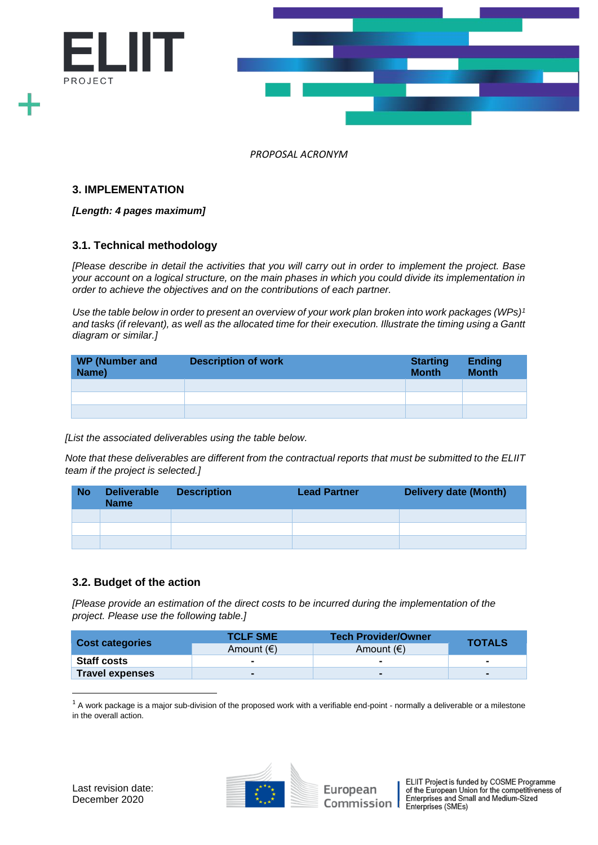

#### **3. IMPLEMENTATION**

#### *[Length: 4 pages maximum]*

#### **3.1. Technical methodology**

*[Please describe in detail the activities that you will carry out in order to implement the project. Base your account on a logical structure, on the main phases in which you could divide its implementation in order to achieve the objectives and on the contributions of each partner.* 

*Use the table below in order to present an overview of your work plan broken into work packages (WPs)<sup>1</sup> and tasks (if relevant), as well as the allocated time for their execution. Illustrate the timing using a Gantt diagram or similar.]*

| <b>WP (Number and</b><br>Name) | <b>Description of work</b> | <b>Starting</b><br><b>Month</b> | <b>Ending</b><br><b>Month</b> |
|--------------------------------|----------------------------|---------------------------------|-------------------------------|
|                                |                            |                                 |                               |
|                                |                            |                                 |                               |
|                                |                            |                                 |                               |

*[List the associated deliverables using the table below.*

*Note that these deliverables are different from the contractual reports that must be submitted to the ELIIT team if the project is selected.]*

| <b>No</b> | <b>Deliverable</b><br><b>Name</b> | <b>Description</b> | <b>Lead Partner</b> | <b>Delivery date (Month)</b> |
|-----------|-----------------------------------|--------------------|---------------------|------------------------------|
|           |                                   |                    |                     |                              |
|           |                                   |                    |                     |                              |
|           |                                   |                    |                     |                              |

# **3.2. Budget of the action**

*[Please provide an estimation of the direct costs to be incurred during the implementation of the project. Please use the following table.]*

| <b>Cost categories</b> | <b>TCLF SME</b>     | <b>Tech Provider/Owner</b><br><b>TOTALS</b> |  |  |
|------------------------|---------------------|---------------------------------------------|--|--|
|                        | Amount $(\epsilon)$ | Amount $(\epsilon)$                         |  |  |
| <b>Staff costs</b>     |                     | $\overline{\phantom{a}}$                    |  |  |
| <b>Travel expenses</b> |                     | $\blacksquare$                              |  |  |

 $1$  A work package is a major sub-division of the proposed work with a verifiable end-point - normally a deliverable or a milestone in the overall action.

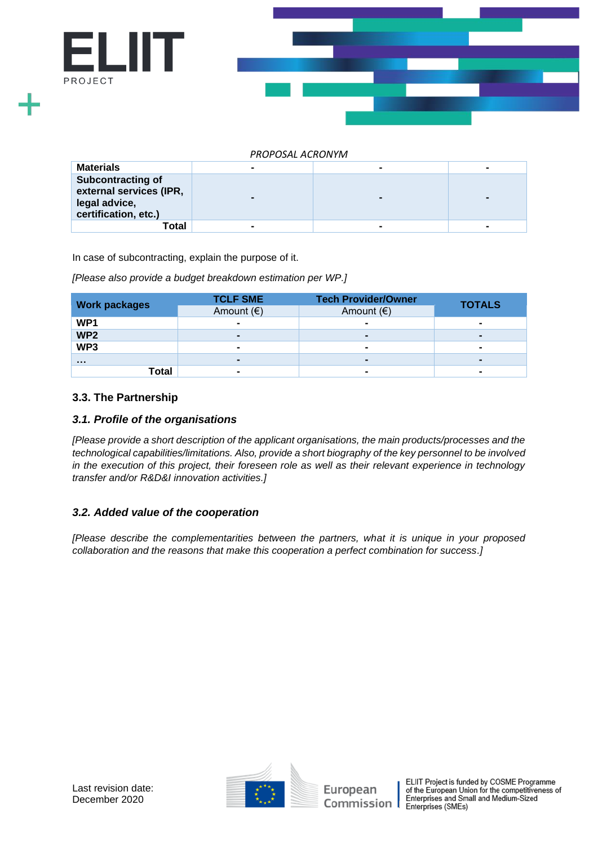

| <b>Materials</b>                                                                      |                | $\blacksquare$           | ۰ |
|---------------------------------------------------------------------------------------|----------------|--------------------------|---|
| Subcontracting of<br>external services (IPR,<br>legal advice,<br>certification, etc.) |                |                          |   |
| Total                                                                                 | $\blacksquare$ | $\overline{\phantom{0}}$ |   |

In case of subcontracting, explain the purpose of it.

*[Please also provide a budget breakdown estimation per WP.]*

| <b>Work packages</b> | <b>TCLF SME</b>     | <b>Tech Provider/Owner</b> | <b>TOTALS</b> |  |
|----------------------|---------------------|----------------------------|---------------|--|
|                      | Amount $(\epsilon)$ | Amount $(\epsilon)$        |               |  |
| WP1                  | $\blacksquare$      | $\blacksquare$             |               |  |
| WP <sub>2</sub>      |                     |                            |               |  |
| WP3                  | $\blacksquare$      | $\blacksquare$             | -             |  |
| $\cdots$             | $\blacksquare$      | $\blacksquare$             |               |  |
| Total                |                     | ۰                          |               |  |

# **3.3. The Partnership**

#### *3.1. Profile of the organisations*

*[Please provide a short description of the applicant organisations, the main products/processes and the technological capabilities/limitations. Also, provide a short biography of the key personnel to be involved in the execution of this project, their foreseen role as well as their relevant experience in technology transfer and/or R&D&I innovation activities.]*

# *3.2. Added value of the cooperation*

*[Please describe the complementarities between the partners, what it is unique in your proposed collaboration and the reasons that make this cooperation a perfect combination for success.]*

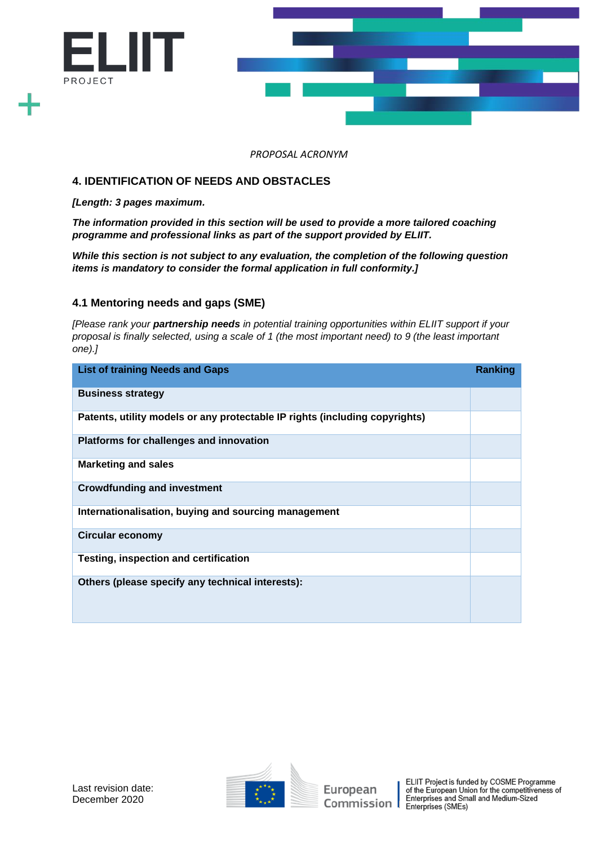

# **4. IDENTIFICATION OF NEEDS AND OBSTACLES**

*[Length: 3 pages maximum.*

*The information provided in this section will be used to provide a more tailored coaching programme and professional links as part of the support provided by ELIIT.* 

*While this section is not subject to any evaluation, the completion of the following question items is mandatory to consider the formal application in full conformity.]*

# **4.1 Mentoring needs and gaps (SME)**

*[Please rank your partnership needs in potential training opportunities within ELIIT support if your proposal is finally selected, using a scale of 1 (the most important need) to 9 (the least important one).]*

| <b>List of training Needs and Gaps</b>                                      | Ranking |
|-----------------------------------------------------------------------------|---------|
| <b>Business strategy</b>                                                    |         |
| Patents, utility models or any protectable IP rights (including copyrights) |         |
| Platforms for challenges and innovation                                     |         |
| <b>Marketing and sales</b>                                                  |         |
| <b>Crowdfunding and investment</b>                                          |         |
| Internationalisation, buying and sourcing management                        |         |
| <b>Circular economy</b>                                                     |         |
| <b>Testing, inspection and certification</b>                                |         |
| Others (please specify any technical interests):                            |         |

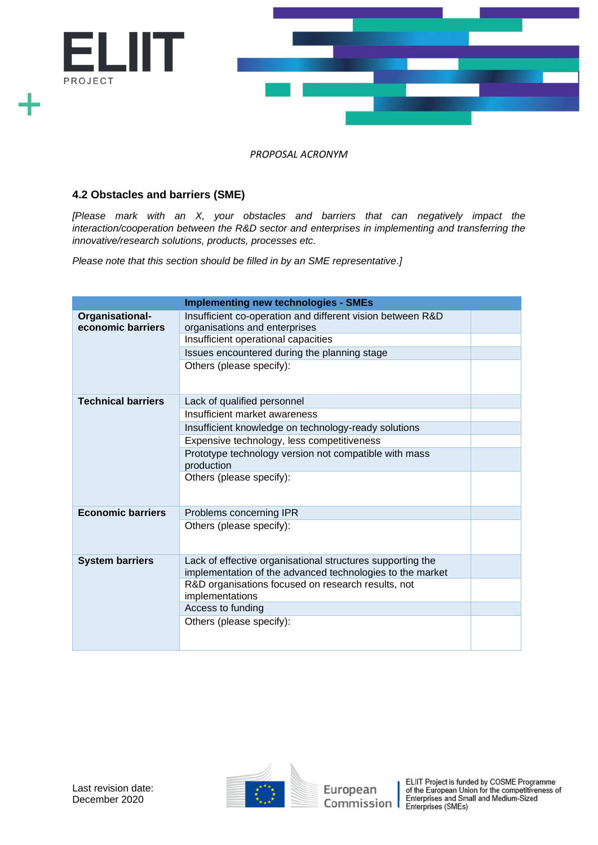

# **4.2 Obstacles and barriers (SME)**

*[Please mark with an X, your obstacles and barriers that can negatively impact the interaction/cooperation between the R&D sector and enterprises in implementing and transferring the innovative/research solutions, products, processes etc.*

*Please note that this section should be filled in by an SME representative.]*

|                                      | <b>Implementing new technologies - SMEs</b>                                                                                                                                        |  |
|--------------------------------------|------------------------------------------------------------------------------------------------------------------------------------------------------------------------------------|--|
| Organisational-<br>economic barriers | Insufficient co-operation and different vision between R&D<br>organisations and enterprises<br>Insufficient operational capacities<br>Issues encountered during the planning stage |  |
|                                      | Others (please specify):                                                                                                                                                           |  |
| <b>Technical barriers</b>            | Lack of qualified personnel                                                                                                                                                        |  |
|                                      | Insufficient market awareness                                                                                                                                                      |  |
|                                      | Insufficient knowledge on technology-ready solutions                                                                                                                               |  |
|                                      | Expensive technology, less competitiveness                                                                                                                                         |  |
|                                      | Prototype technology version not compatible with mass<br>production                                                                                                                |  |
|                                      | Others (please specify):                                                                                                                                                           |  |
| <b>Economic barriers</b>             | Problems concerning IPR                                                                                                                                                            |  |
|                                      | Others (please specify):                                                                                                                                                           |  |
| <b>System barriers</b>               | Lack of effective organisational structures supporting the<br>implementation of the advanced technologies to the market                                                            |  |
|                                      | R&D organisations focused on research results, not<br>implementations                                                                                                              |  |
|                                      | Access to funding                                                                                                                                                                  |  |
|                                      | Others (please specify):                                                                                                                                                           |  |



EUIT Project is funded by COSME Programme<br>
of the European Union for the competitiveness of<br>
Commission | Enterprises (SMEs)<br>
Enterprises (SMEs)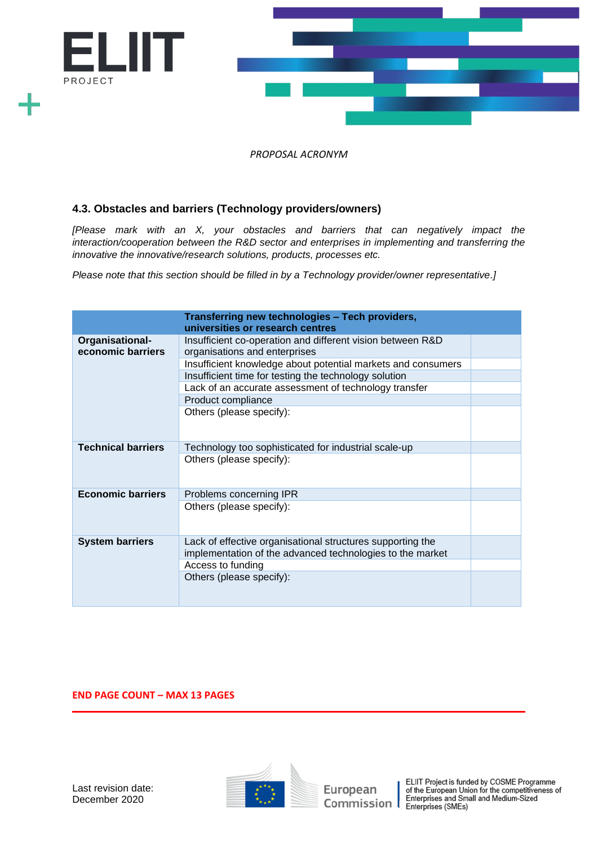

# **4.3. Obstacles and barriers (Technology providers/owners)**

*[Please mark with an X, your obstacles and barriers that can negatively impact the interaction/cooperation between the R&D sector and enterprises in implementing and transferring the innovative the innovative/research solutions, products, processes etc.*

*Please note that this section should be filled in by a Technology provider/owner representative.]*

|                                      | Transferring new technologies - Tech providers,<br>universities or research centres                                     |  |
|--------------------------------------|-------------------------------------------------------------------------------------------------------------------------|--|
| Organisational-<br>economic barriers | Insufficient co-operation and different vision between R&D<br>organisations and enterprises                             |  |
|                                      | Insufficient knowledge about potential markets and consumers                                                            |  |
|                                      | Insufficient time for testing the technology solution                                                                   |  |
|                                      | Lack of an accurate assessment of technology transfer                                                                   |  |
|                                      | Product compliance                                                                                                      |  |
|                                      | Others (please specify):                                                                                                |  |
|                                      |                                                                                                                         |  |
|                                      |                                                                                                                         |  |
| <b>Technical barriers</b>            | Technology too sophisticated for industrial scale-up                                                                    |  |
|                                      | Others (please specify):                                                                                                |  |
| <b>Economic barriers</b>             | Problems concerning IPR                                                                                                 |  |
|                                      | Others (please specify):                                                                                                |  |
| <b>System barriers</b>               | Lack of effective organisational structures supporting the<br>implementation of the advanced technologies to the market |  |
|                                      | Access to funding                                                                                                       |  |
|                                      | Others (please specify):                                                                                                |  |

#### **END PAGE COUNT – MAX 13 PAGES**